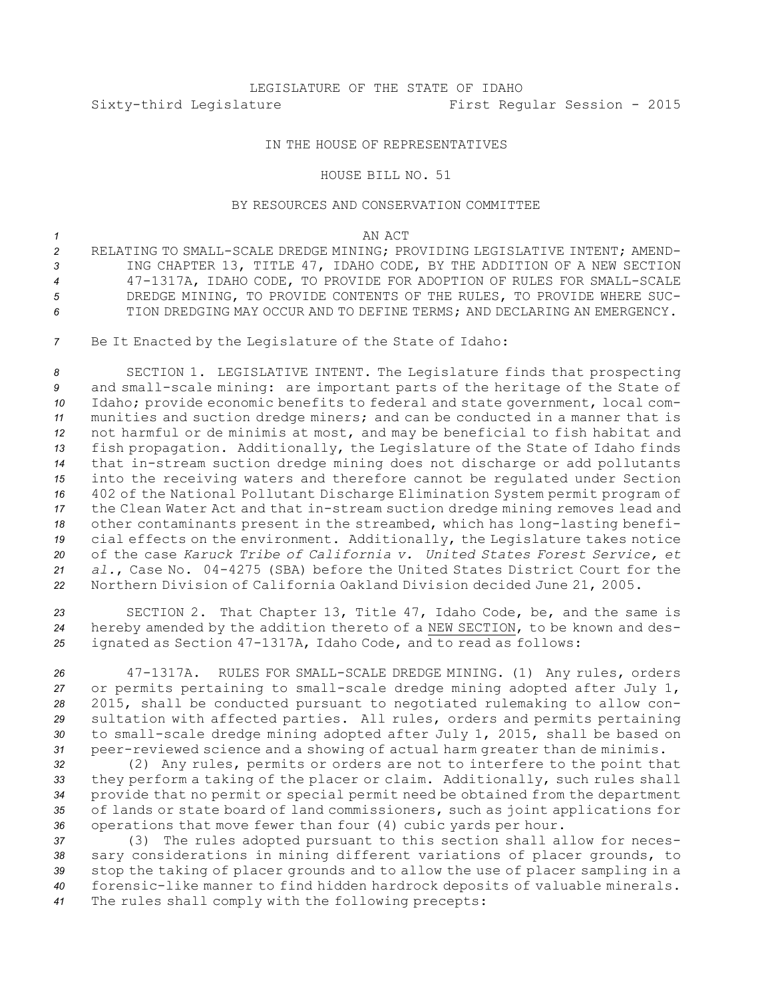## LEGISLATURE OF THE STATE OF IDAHO Sixty-third Legislature First Regular Session - 2015

## IN THE HOUSE OF REPRESENTATIVES

## HOUSE BILL NO. 51

## BY RESOURCES AND CONSERVATION COMMITTEE

*1* AN ACT

- *2* RELATING TO SMALL-SCALE DREDGE MINING; PROVIDING LEGISLATIVE INTENT; AMEND-*<sup>3</sup>* ING CHAPTER 13, TITLE 47, IDAHO CODE, BY THE ADDITION OF A NEW SECTION *<sup>4</sup>* 47-1317A, IDAHO CODE, TO PROVIDE FOR ADOPTION OF RULES FOR SMALL-SCALE *5* DREDGE MINING, TO PROVIDE CONTENTS OF THE RULES, TO PROVIDE WHERE SUC-*6* TION DREDGING MAY OCCUR AND TO DEFINE TERMS; AND DECLARING AN EMERGENCY.
- *<sup>7</sup>* Be It Enacted by the Legislature of the State of Idaho:

 SECTION 1. LEGISLATIVE INTENT. The Legislature finds that prospecting and small-scale mining: are important parts of the heritage of the State of Idaho; provide economic benefits to federal and state government, local com- munities and suction dredge miners; and can be conducted in <sup>a</sup> manner that is not harmful or de minimis at most, and may be beneficial to fish habitat and fish propagation. Additionally, the Legislature of the State of Idaho finds that in-stream suction dredge mining does not discharge or add pollutants into the receiving waters and therefore cannot be regulated under Section 402 of the National Pollutant Discharge Elimination System permit program of the Clean Water Act and that in-stream suction dredge mining removes lead and other contaminants present in the streambed, which has long-lasting benefi- cial effects on the environment. Additionally, the Legislature takes notice of the case *Karuck Tribe of California v. United States Forest Service, et al.*, Case No. 04-4275 (SBA) before the United States District Court for the Northern Division of California Oakland Division decided June 21, 2005.

*<sup>23</sup>* SECTION 2. That Chapter 13, Title 47, Idaho Code, be, and the same is *<sup>24</sup>* hereby amended by the addition thereto of <sup>a</sup> NEW SECTION, to be known and des-*<sup>25</sup>* ignated as Section 47-1317A, Idaho Code, and to read as follows:

 47-1317A. RULES FOR SMALL-SCALE DREDGE MINING. (1) Any rules, orders or permits pertaining to small-scale dredge mining adopted after July 1, 2015, shall be conducted pursuant to negotiated rulemaking to allow con- sultation with affected parties. All rules, orders and permits pertaining to small-scale dredge mining adopted after July 1, 2015, shall be based on peer-reviewed science and <sup>a</sup> showing of actual harm greater than de minimis.

 (2) Any rules, permits or orders are not to interfere to the point that they perform <sup>a</sup> taking of the placer or claim. Additionally, such rules shall provide that no permit or special permit need be obtained from the department of lands or state board of land commissioners, such as joint applications for operations that move fewer than four (4) cubic yards per hour.

 (3) The rules adopted pursuant to this section shall allow for neces- sary considerations in mining different variations of placer grounds, to stop the taking of placer grounds and to allow the use of placer sampling in <sup>a</sup> forensic-like manner to find hidden hardrock deposits of valuable minerals. The rules shall comply with the following precepts: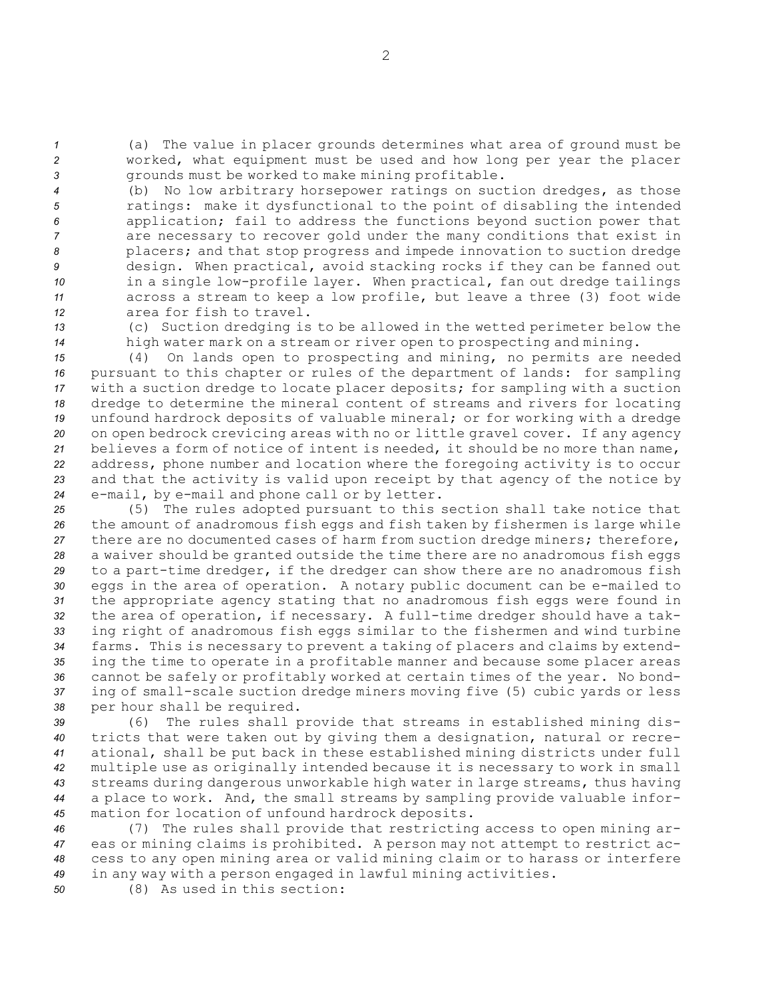*<sup>1</sup>* (a) The value in placer grounds determines what area of ground must be *<sup>2</sup>* worked, what equipment must be used and how long per year the placer *<sup>3</sup>* grounds must be worked to make mining profitable.

 (b) No low arbitrary horsepower ratings on suction dredges, as those ratings: make it dysfunctional to the point of disabling the intended application; fail to address the functions beyond suction power that are necessary to recover gold under the many conditions that exist in placers; and that stop progress and impede innovation to suction dredge design. When practical, avoid stacking rocks if they can be fanned out in <sup>a</sup> single low-profile layer. When practical, fan out dredge tailings across <sup>a</sup> stream to keep <sup>a</sup> low profile, but leave <sup>a</sup> three (3) foot wide area for fish to travel.

*<sup>13</sup>* (c) Suction dredging is to be allowed in the wetted perimeter below the *<sup>14</sup>* high water mark on <sup>a</sup> stream or river open to prospecting and mining.

 (4) On lands open to prospecting and mining, no permits are needed pursuant to this chapter or rules of the department of lands: for sampling with <sup>a</sup> suction dredge to locate placer deposits; for sampling with <sup>a</sup> suction dredge to determine the mineral content of streams and rivers for locating unfound hardrock deposits of valuable mineral; or for working with <sup>a</sup> dredge on open bedrock crevicing areas with no or little gravel cover. If any agency believes <sup>a</sup> form of notice of intent is needed, it should be no more than name, address, phone number and location where the foregoing activity is to occur and that the activity is valid upon receipt by that agency of the notice by e-mail, by e-mail and phone call or by letter.

 (5) The rules adopted pursuant to this section shall take notice that the amount of anadromous fish eggs and fish taken by fishermen is large while there are no documented cases of harm from suction dredge miners; therefore, <sup>a</sup> waiver should be granted outside the time there are no anadromous fish eggs to <sup>a</sup> part-time dredger, if the dredger can show there are no anadromous fish eggs in the area of operation. <sup>A</sup> notary public document can be e-mailed to the appropriate agency stating that no anadromous fish eggs were found in the area of operation, if necessary. <sup>A</sup> full-time dredger should have <sup>a</sup> tak- ing right of anadromous fish eggs similar to the fishermen and wind turbine farms. This is necessary to prevent <sup>a</sup> taking of placers and claims by extend- ing the time to operate in <sup>a</sup> profitable manner and because some placer areas cannot be safely or profitably worked at certain times of the year. No bond- ing of small-scale suction dredge miners moving five (5) cubic yards or less per hour shall be required.

 (6) The rules shall provide that streams in established mining dis- tricts that were taken out by giving them <sup>a</sup> designation, natural or recre- ational, shall be put back in these established mining districts under full multiple use as originally intended because it is necessary to work in small streams during dangerous unworkable high water in large streams, thus having <sup>a</sup> place to work. And, the small streams by sampling provide valuable infor-mation for location of unfound hardrock deposits.

 (7) The rules shall provide that restricting access to open mining ar- eas or mining claims is prohibited. <sup>A</sup> person may not attempt to restrict ac- cess to any open mining area or valid mining claim or to harass or interfere in any way with <sup>a</sup> person engaged in lawful mining activities.

*50* (8) As used in this section: